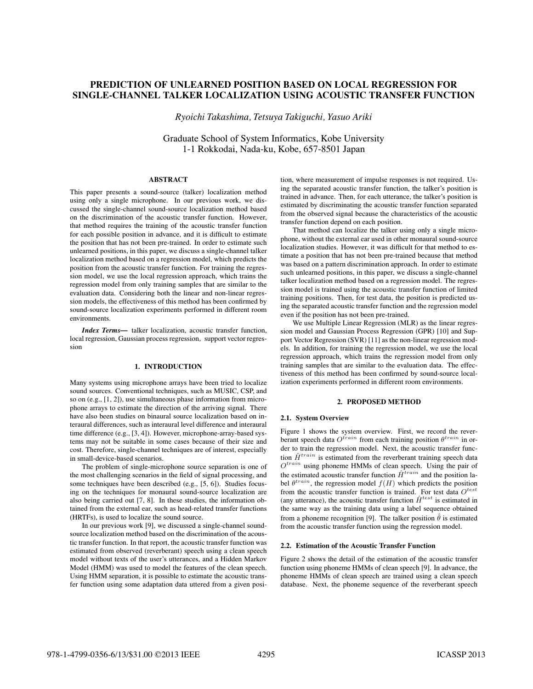# **PREDICTION OF UNLEARNED POSITION BASED ON LOCAL REGRESSION FOR SINGLE-CHANNEL TALKER LOCALIZATION USING ACOUSTIC TRANSFER FUNCTION**

*Ryoichi Takashima, Tetsuya Takiguchi, Yasuo Ariki*

Graduate School of System Informatics, Kobe University 1-1 Rokkodai, Nada-ku, Kobe, 657-8501 Japan

## **ABSTRACT**

This paper presents a sound-source (talker) localization method using only a single microphone. In our previous work, we discussed the single-channel sound-source localization method based on the discrimination of the acoustic transfer function. However, that method requires the training of the acoustic transfer function for each possible position in advance, and it is difficult to estimate the position that has not been pre-trained. In order to estimate such unlearned positions, in this paper, we discuss a single-channel talker localization method based on a regression model, which predicts the position from the acoustic transfer function. For training the regression model, we use the local regression approach, which trains the regression model from only training samples that are similar to the evaluation data. Considering both the linear and non-linear regression models, the effectiveness of this method has been confirmed by sound-source localization experiments performed in different room environments.

*Index Terms***—** talker localization, acoustic transfer function, local regression, Gaussian process regression, support vector regression

#### **1. INTRODUCTION**

Many systems using microphone arrays have been tried to localize sound sources. Conventional techniques, such as MUSIC, CSP, and so on (e.g., [1, 2]), use simultaneous phase information from microphone arrays to estimate the direction of the arriving signal. There have also been studies on binaural source localization based on interaural differences, such as interaural level difference and interaural time difference (e.g., [3, 4]). However, microphone-array-based systems may not be suitable in some cases because of their size and cost. Therefore, single-channel techniques are of interest, especially in small-device-based scenarios.

The problem of single-microphone source separation is one of the most challenging scenarios in the field of signal processing, and some techniques have been described (e.g., [5, 6]). Studies focusing on the techniques for monaural sound-source localization are also being carried out [7, 8]. In these studies, the information obtained from the external ear, such as head-related transfer functions (HRTFs), is used to localize the sound source.

In our previous work [9], we discussed a single-channel soundsource localization method based on the discrimination of the acoustic transfer function. In that report, the acoustic transfer function was estimated from observed (reverberant) speech using a clean speech model without texts of the user's utterances, and a Hidden Markov Model (HMM) was used to model the features of the clean speech. Using HMM separation, it is possible to estimate the acoustic transfer function using some adaptation data uttered from a given position, where measurement of impulse responses is not required. Using the separated acoustic transfer function, the talker's position is trained in advance. Then, for each utterance, the talker's position is estimated by discriminating the acoustic transfer function separated from the observed signal because the characteristics of the acoustic transfer function depend on each position.

That method can localize the talker using only a single microphone, without the external ear used in other monaural sound-source localization studies. However, it was difficult for that method to estimate a position that has not been pre-trained because that method was based on a pattern discrimination approach. In order to estimate such unlearned positions, in this paper, we discuss a single-channel talker localization method based on a regression model. The regression model is trained using the acoustic transfer function of limited training positions. Then, for test data, the position is predicted using the separated acoustic transfer function and the regression model even if the position has not been pre-trained.

We use Multiple Linear Regression (MLR) as the linear regression model and Gaussian Process Regression (GPR) [10] and Support Vector Regression (SVR) [11] as the non-linear regression models. In addition, for training the regression model, we use the local regression approach, which trains the regression model from only training samples that are similar to the evaluation data. The effectiveness of this method has been confirmed by sound-source localization experiments performed in different room environments.

## **2. PROPOSED METHOD**

### **2.1. System Overview**

Figure 1 shows the system overview. First, we record the reverberant speech data  $O^{train}$  from each training position  $\theta^{train}$  in order to train the regression model. Next, the acoustic transfer function  $\hat{H}^{train}$  is estimated from the reverberant training speech data *O train* using phoneme HMMs of clean speech. Using the pair of the estimated acoustic transfer function  $\hat{H}^{train}$  and the position label  $\theta^{train}$ , the regression model  $f(H)$  which predicts the position from the acoustic transfer function is trained. For test data *O test* (any utterance), the acoustic transfer function  $\hat{H}^{test}$  is estimated in the same way as the training data using a label sequence obtained from a phoneme recognition [9]. The talker position  $\hat{\theta}$  is estimated from the acoustic transfer function using the regression model.

#### **2.2. Estimation of the Acoustic Transfer Function**

Figure 2 shows the detail of the estimation of the acoustic transfer function using phoneme HMMs of clean speech [9]. In advance, the phoneme HMMs of clean speech are trained using a clean speech database. Next, the phoneme sequence of the reverberant speech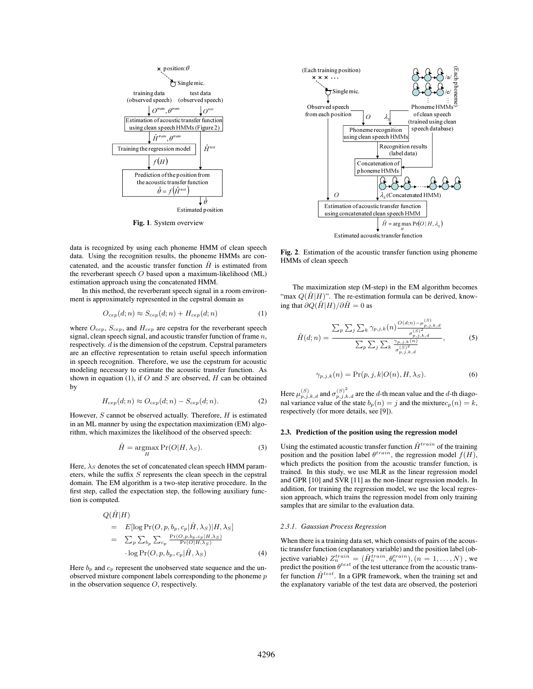

**Fig. 1**. System overview

data is recognized by using each phoneme HMM of clean speech data. Using the recognition results, the phoneme HMMs are concatenated, and the acoustic transfer function  $H$ <sup>s</sup> is estimated from the reverberant speech *O* based upon a maximum-likelihood (ML) estimation approach using the concatenated HMM.

In this method, the reverberant speech signal in a room environment is approximately represented in the cepstral domain as

$$
O_{cep}(d; n) \approx S_{cep}(d; n) + H_{cep}(d; n)
$$
\n(1)

where  $O_{cep}$ ,  $S_{cep}$ , and  $H_{cep}$  are cepstra for the reverberant speech signal, clean speech signal, and acoustic transfer function of frame *n*, respectively. *d* is the dimension of the cepstrum. Cepstral parameters are an effective representation to retain useful speech information in speech recognition. Therefore, we use the cepstrum for acoustic modeling necessary to estimate the acoustic transfer function. As shown in equation (1), if *O* and *S* are observed, *H* can be obtained by

$$
H_{cep}(d;n) \approx O_{cep}(d;n) - S_{cep}(d;n). \tag{2}
$$

However, *S* cannot be observed actually. Therefore, *H* is estimated in an ML manner by using the expectation maximization (EM) algorithm, which maximizes the likelihood of the observed speech:

$$
\hat{H} = \underset{H}{\text{argmax}} \Pr(O|H, \lambda_S). \tag{3}
$$

Here,  $\lambda_S$  denotes the set of concatenated clean speech HMM parameters, while the suffix *S* represents the clean speech in the cepstral domain. The EM algorithm is a two-step iterative procedure. In the first step, called the expectation step, the following auxiliary function is computed.

$$
Q(\hat{H}|H) = E[\log \Pr(O, p, b_p, c_p | \hat{H}, \lambda_S)|H, \lambda_S]
$$
  
= 
$$
\sum_p \sum_{b_p} \sum_{c_p} \frac{\Pr(O, p, b_p, c_p | H, \lambda_S)}{\Pr(O|H, \lambda_S)}
$$
  
log 
$$
\Pr(O, p, b_p, c_p | \hat{H}, \lambda_S)
$$
 (4)

Here  $b_p$  and  $c_p$  represent the unobserved state sequence and the unobserved mixture component labels corresponding to the phoneme *p* in the observation sequence *O*, respectively.



**Fig. 2**. Estimation of the acoustic transfer function using phoneme HMMs of clean speech

The maximization step (M-step) in the EM algorithm becomes "max  $Q(\hat{H}|H)$ ". The re-estimation formula can be derived, know- $\frac{\partial Q(\hat{H}|H)}{\partial \hat{H}} = 0$  as

$$
\hat{H}(d;n) = \frac{\sum_{p} \sum_{j} \sum_{k} \gamma_{p,j,k}(n) \frac{O(d;n) - \mu_{p,j,k,d}^{(S)} }{\sigma_{p,j,k,d}^{(S)^2}}}{\sum_{p} \sum_{j} \sum_{k} \frac{\gamma_{p,j,k}(n)}{\sigma_{p,j,k,d}^{(S)^2}}},
$$
\n(5)

$$
\gamma_{p,j,k}(n) = \Pr(p,j,k|O(n),H,\lambda_S). \tag{6}
$$

Here  $\mu_{p,j,k,d}^{(S)}$  and  $\sigma_{p,j,k,d}^{(S)}$  are the *d*-th mean value and the *d*-th diagonal variance value of the state  $b_p(n) = j$  and the mixture $c_p(n) = k$ , respectively (for more details, see [9]).

#### **2.3. Prediction of the position using the regression model**

Using the estimated acoustic transfer function  $\hat{H}^{train}$  of the training position and the position label  $\theta^{train}$ , the regression model  $f(H)$ , which predicts the position from the acoustic transfer function, is trained. In this study, we use MLR as the linear regression model and GPR [10] and SVR [11] as the non-linear regression models. In addition, for training the regression model, we use the local regression approach, which trains the regression model from only training samples that are similar to the evaluation data.

#### *2.3.1. Gaussian Process Regression*

When there is a training data set, which consists of pairs of the acoustic transfer function (explanatory variable) and the position label (objective variable)  $Z_n^{train} = (\hat{H}_n^{train}, \theta_n^{train}), (n = 1, ..., N)$ , we predict the position  $\theta^{test}$  of the test utterance from the acoustic transfer function  $\hat{H}^{test}$ . In a GPR framework, when the training set and the explanatory variable of the test data are observed, the posteriori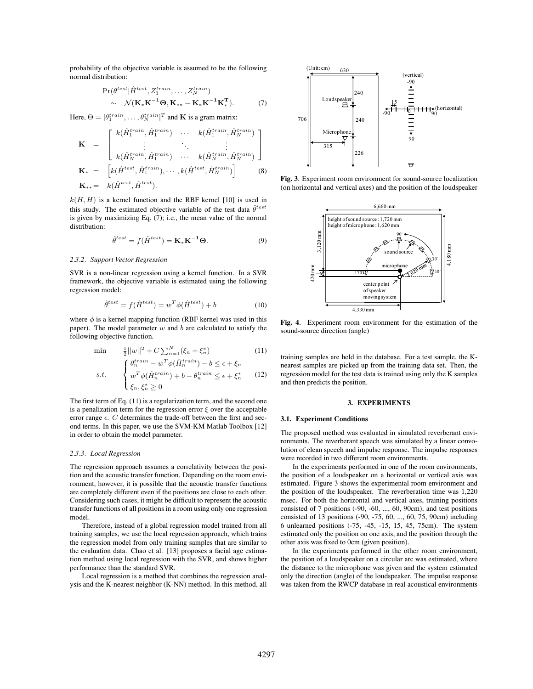probability of the objective variable is assumed to be the following normal distribution:

$$
\Pr(\theta^{test} | \hat{H}^{test}, Z_1^{train}, \dots, Z_N^{train})
$$
  
~ 
$$
\sim \mathcal{N}(\mathbf{K}_* \mathbf{K}^{-1} \boldsymbol{\Theta}, \mathbf{K}_{**} - \mathbf{K}_* \mathbf{K}^{-1} \mathbf{K}_*^{\mathbf{T}}). \tag{7}
$$

Here,  $\Theta = [\theta_1^{train}, \dots, \theta_N^{train}]^T$  and **K** is a gram matrix:

$$
\mathbf{K} = \begin{bmatrix} k(\hat{H}_1^{train}, \hat{H}_1^{train}) & \cdots & k(\hat{H}_1^{train}, \hat{H}_N^{train}) \\ \vdots & \ddots & \vdots \\ k(\hat{H}_N^{train}, \hat{H}_1^{train}) & \cdots & k(\hat{H}_N^{train}, \hat{H}_N^{train}) \end{bmatrix}
$$

$$
\mathbf{K}_* = \begin{bmatrix} k(\hat{H}^{test}, \hat{H}_1^{train}), \cdots, k(\hat{H}^{test}, \hat{H}_N^{train}) \end{bmatrix}
$$
(8)
$$
\mathbf{K}_{**} = k(\hat{H}^{test}, \hat{H}^{test}).
$$

 $k(H, H)$  is a kernel function and the RBF kernel [10] is used in this study. The estimated objective variable of the test data  $\hat{\theta}^{test}$ is given by maximizing Eq. (7); i.e., the mean value of the normal distribution:

$$
\hat{\theta}^{test} = f(\hat{H}^{test}) = \mathbf{K}_{*}\mathbf{K}^{-1}\Theta.
$$
 (9)

## *2.3.2. Support Vector Regression*

SVR is a non-linear regression using a kernel function. In a SVR framework, the objective variable is estimated using the following regression model:

$$
\hat{\theta}^{test} = f(\hat{H}^{test}) = w^T \phi(\hat{H}^{test}) + b \tag{10}
$$

where  $\phi$  is a kernel mapping function (RBF kernel was used in this paper). The model parameter *w* and *b* are calculated to satisfy the following objective function.

$$
\min \qquad \frac{1}{2}||w||^2 + C\sum_{n=1}^N(\xi_n + \xi_n^*)\tag{11}
$$

$$
s.t. \qquad \begin{cases} \theta_n^{train} - w^T \phi(\hat{H}_n^{train}) - b \le \epsilon + \xi_n \\ w^T \phi(\hat{H}_n^{train}) + b - \theta_n^{train} \le \epsilon + \xi_n^* \\ \xi_n, \xi_n^* \ge 0 \end{cases} \tag{12}
$$

The first term of Eq. (11) is a regularization term, and the second one is a penalization term for the regression error  $\xi$  over the acceptable error range  $\epsilon$ . *C* determines the trade-off between the first and second terms. In this paper, we use the SVM-KM Matlab Toolbox [12] in order to obtain the model parameter.

## *2.3.3. Local Regression*

The regression approach assumes a correlativity between the position and the acoustic transfer function. Depending on the room environment, however, it is possible that the acoustic transfer functions are completely different even if the positions are close to each other. Considering such cases, it might be difficult to represent the acoustic transfer functions of all positions in a room using only one regression model.

Therefore, instead of a global regression model trained from all training samples, we use the local regression approach, which trains the regression model from only training samples that are similar to the evaluation data. Chao et al. [13] proposes a facial age estimation method using local regression with the SVR, and shows higher performance than the standard SVR.

Local regression is a method that combines the regression analysis and the K-nearest neighbor (K-NN) method. In this method, all



**Fig. 3**. Experiment room environment for sound-source localization (on horizontal and vertical axes) and the position of the loudspeaker



**Fig. 4**. Experiment room environment for the estimation of the sound-source direction (angle)

training samples are held in the database. For a test sample, the Knearest samples are picked up from the training data set. Then, the regression model for the test data is trained using only the K samples and then predicts the position.

## **3. EXPERIMENTS**

#### **3.1. Experiment Conditions**

The proposed method was evaluated in simulated reverberant environments. The reverberant speech was simulated by a linear convolution of clean speech and impulse response. The impulse responses were recorded in two different room environments.

In the experiments performed in one of the room environments, the position of a loudspeaker on a horizontal or vertical axis was estimated. Figure 3 shows the experimental room environment and the position of the loudspeaker. The reverberation time was 1,220 msec. For both the horizontal and vertical axes, training positions consisted of  $7$  positions  $(-90, -60, \ldots, 60, 90)$ , and test positions consisted of 13 positions (-90, -75, 60, ..., 60, 75, 90cm) including 6 unlearned positions (-75, -45, -15, 15, 45, 75cm). The system estimated only the position on one axis, and the position through the other axis was fixed to 0cm (given position).

In the experiments performed in the other room environment, the position of a loudspeaker on a circular arc was estimated, where the distance to the microphone was given and the system estimated only the direction (angle) of the loudspeaker. The impulse response was taken from the RWCP database in real acoustical environments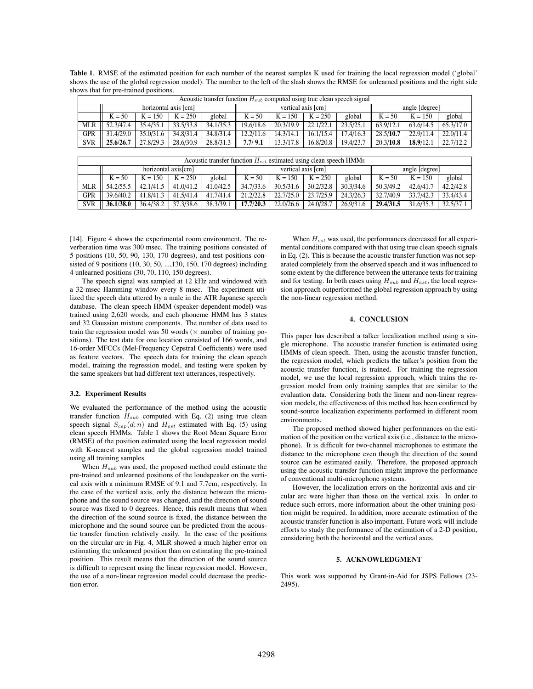| Table 1. RMSE of the estimated position for each number of the nearest samples K used for training the local regression model ('global'      |  |
|----------------------------------------------------------------------------------------------------------------------------------------------|--|
| shows the use of the global regression model). The number to the left of the slash shows the RMSE for unlearned positions and the right side |  |
| shows that for pre-trained positions.                                                                                                        |  |
|                                                                                                                                              |  |

| Acoustic transfer function $H_{sub}$ computed using true clean speech signal |                      |           |           |           |                    |           |           |           |                |           |           |
|------------------------------------------------------------------------------|----------------------|-----------|-----------|-----------|--------------------|-----------|-----------|-----------|----------------|-----------|-----------|
|                                                                              | horizontal axis [cm] |           |           |           | vertical axis [cm] |           |           |           | angle [degree] |           |           |
|                                                                              | $K = 50$             | $K = 150$ | $K = 250$ | global    | $K = 50$           | $K = 150$ | $K = 250$ | global    | $K = 50$       | $K = 150$ | global    |
| <b>MLR</b>                                                                   | 52.3/47.4            | 35.4/35.1 | 33.5/33.8 | 34.1/35.3 | 19.6/18.6          | 20.3/19.9 | 22.1/22.1 | 23.5/25.  | 63.9/12.1      | 63.6/14.5 | 65.3/17.0 |
| <b>GPR</b>                                                                   | 31.4/29.0            | 35.0/31.6 | 34.8/31.4 | 34.8/31.4 | 12.2/11.6          | 14.3/14.1 | 16.1/15.4 | 17.4/16.3 | 28.5/10.7      | 22.9/11.4 | 22.0/11.4 |
| <b>SVR</b>                                                                   | 25.6/26.7            | 27.8/29.3 | 28.6/30.9 | 28.8/31.3 | 7.7/9.1            | 13.3/17.8 | 16.8/20.8 | 19.4/23.7 | 20.3/10.8      | 18.9/12.1 | 22.7/12.2 |

| Acoustic transfer function $H_{est}$ estimated using clean speech HMMs |                    |           |           |           |                    |           |           |           |                |           |           |
|------------------------------------------------------------------------|--------------------|-----------|-----------|-----------|--------------------|-----------|-----------|-----------|----------------|-----------|-----------|
|                                                                        | horizontal axissom |           |           |           | vertical axis [cm] |           |           |           | angle [degree] |           |           |
|                                                                        | $K = 50$           | $K = 150$ | $K = 250$ | global    | $K = 50$           | $K = 150$ | $K = 250$ | global    | $K = 50$       | $K = 150$ | global    |
| <b>MLR</b>                                                             | 54.2/55.5          | 42.1/41.5 | 41.0/41.2 | 41.0/42.5 | 34.7/33.6          | 30.5/31.6 | 30.2/32.8 | 30.3/34.6 | 50.3/49.2      | 42.6/41.7 | 42.2/42.8 |
| <b>GPR</b>                                                             | 39.6/40.2          | 41.8/41.3 | 41.5/41.4 | 41.7/41.4 | 21.2/22.8          | 22.7/25.0 | 23.7/25.9 | 24.3/26.3 | 32.7/40.9      | 33.7/42.3 | 33.4/43.4 |
| <b>SVR</b>                                                             | 36.1/38.0          | 36.4/38.2 | 37.3/38.6 | 38.3/39.1 | 17.7/20.3          | 22.0/26.6 | 24.0/28.7 | 26.9/31.6 | 29.4/31.5      | 31.6/35.3 | 32.5/37.1 |

[14]. Figure 4 shows the experimental room environment. The reverberation time was 300 msec. The training positions consisted of 5 positions (10, 50, 90, 130, 170 degrees), and test positions consisted of 9 positions (10, 30, 50, ...,130, 150, 170 degrees) including 4 unlearned positions (30, 70, 110, 150 degrees).

The speech signal was sampled at 12 kHz and windowed with a 32-msec Hamming window every 8 msec. The experiment utilized the speech data uttered by a male in the ATR Japanese speech database. The clean speech HMM (speaker-dependent model) was trained using 2,620 words, and each phoneme HMM has 3 states and 32 Gaussian mixture components. The number of data used to train the regression model was 50 words (*×* number of training positions). The test data for one location consisted of 166 words, and 16-order MFCCs (Mel-Frequency Cepstral Coefficients) were used as feature vectors. The speech data for training the clean speech model, training the regression model, and testing were spoken by the same speakers but had different text utterances, respectively.

### **3.2. Experiment Results**

We evaluated the performance of the method using the acoustic transfer function *Hsub* computed with Eq. (2) using true clean speech signal  $S_{cep}(d; n)$  and  $H_{est}$  estimated with Eq. (5) using clean speech HMMs. Table 1 shows the Root Mean Square Error (RMSE) of the position estimated using the local regression model with K-nearest samples and the global regression model trained using all training samples.

When *Hsub* was used, the proposed method could estimate the pre-trained and unlearned positions of the loudspeaker on the vertical axis with a minimum RMSE of 9.1 and 7.7cm, respectively. In the case of the vertical axis, only the distance between the microphone and the sound source was changed, and the direction of sound source was fixed to 0 degrees. Hence, this result means that when the direction of the sound source is fixed, the distance between the microphone and the sound source can be predicted from the acoustic transfer function relatively easily. In the case of the positions on the circular arc in Fig. 4, MLR showed a much higher error on estimating the unlearned position than on estimating the pre-trained position. This result means that the direction of the sound source is difficult to represent using the linear regression model. However, the use of a non-linear regression model could decrease the prediction error.

When *Hest* was used, the performances decreased for all experimental conditions compared with that using true clean speech signals in Eq. (2). This is because the acoustic transfer function was not separated completely from the observed speech and it was influenced to some extent by the difference between the utterance texts for training and for testing. In both cases using *Hsub* and *Hest*, the local regression approach outperformed the global regression approach by using the non-linear regression method.

### **4. CONCLUSION**

This paper has described a talker localization method using a single microphone. The acoustic transfer function is estimated using HMMs of clean speech. Then, using the acoustic transfer function, the regression model, which predicts the talker's position from the acoustic transfer function, is trained. For training the regression model, we use the local regression approach, which trains the regression model from only training samples that are similar to the evaluation data. Considering both the linear and non-linear regression models, the effectiveness of this method has been confirmed by sound-source localization experiments performed in different room environments.

The proposed method showed higher performances on the estimation of the position on the vertical axis (i.e., distance to the microphone). It is difficult for two-channel microphones to estimate the distance to the microphone even though the direction of the sound source can be estimated easily. Therefore, the proposed approach using the acoustic transfer function might improve the performance of conventional multi-microphone systems.

However, the localization errors on the horizontal axis and circular arc were higher than those on the vertical axis. In order to reduce such errors, more information about the other training position might be required. In addition, more accurate estimation of the acoustic transfer function is also important. Future work will include efforts to study the performance of the estimation of a 2-D position, considering both the horizontal and the vertical axes.

## **5. ACKNOWLEDGMENT**

This work was supported by Grant-in-Aid for JSPS Fellows (23- 2495).